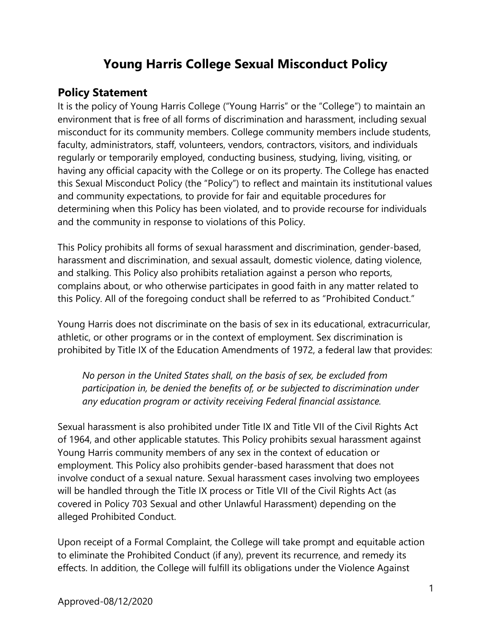# **Young Harris College Sexual Misconduct Policy**

### **Policy Statement**

It is the policy of Young Harris College ("Young Harris" or the "College") to maintain an environment that is free of all forms of discrimination and harassment, including sexual misconduct for its community members. College community members include students, faculty, administrators, staff, volunteers, vendors, contractors, visitors, and individuals regularly or temporarily employed, conducting business, studying, living, visiting, or having any official capacity with the College or on its property. The College has enacted this Sexual Misconduct Policy (the "Policy") to reflect and maintain its institutional values and community expectations, to provide for fair and equitable procedures for determining when this Policy has been violated, and to provide recourse for individuals and the community in response to violations of this Policy.

This Policy prohibits all forms of sexual harassment and discrimination, gender-based, harassment and discrimination, and sexual assault, domestic violence, dating violence, and stalking. This Policy also prohibits retaliation against a person who reports, complains about, or who otherwise participates in good faith in any matter related to this Policy. All of the foregoing conduct shall be referred to as "Prohibited Conduct."

Young Harris does not discriminate on the basis of sex in its educational, extracurricular, athletic, or other programs or in the context of employment. Sex discrimination is prohibited by Title IX of the Education Amendments of 1972, a federal law that provides:

*No person in the United States shall, on the basis of sex, be excluded from participation in, be denied the benefits of, or be subjected to discrimination under any education program or activity receiving Federal financial assistance.* 

Sexual harassment is also prohibited under Title IX and Title VII of the Civil Rights Act of 1964, and other applicable statutes. This Policy prohibits sexual harassment against Young Harris community members of any sex in the context of education or employment. This Policy also prohibits gender-based harassment that does not involve conduct of a sexual nature. Sexual harassment cases involving two employees will be handled through the Title IX process or Title VII of the Civil Rights Act (as covered in Policy 703 Sexual and other Unlawful Harassment) depending on the alleged Prohibited Conduct.

Upon receipt of a Formal Complaint, the College will take prompt and equitable action to eliminate the Prohibited Conduct (if any), prevent its recurrence, and remedy its effects. In addition, the College will fulfill its obligations under the Violence Against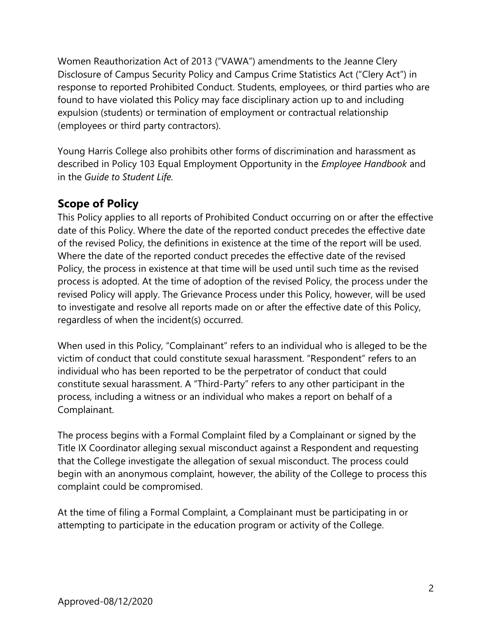Women Reauthorization Act of 2013 ("VAWA") amendments to the Jeanne Clery Disclosure of Campus Security Policy and Campus Crime Statistics Act ("Clery Act") in response to reported Prohibited Conduct. Students, employees, or third parties who are found to have violated this Policy may face disciplinary action up to and including expulsion (students) or termination of employment or contractual relationship (employees or third party contractors).

Young Harris College also prohibits other forms of discrimination and harassment as described in Policy 103 Equal Employment Opportunity in the *Employee Handbook* and in the *Guide to Student Life.*

# **Scope of Policy**

This Policy applies to all reports of Prohibited Conduct occurring on or after the effective date of this Policy. Where the date of the reported conduct precedes the effective date of the revised Policy, the definitions in existence at the time of the report will be used. Where the date of the reported conduct precedes the effective date of the revised Policy, the process in existence at that time will be used until such time as the revised process is adopted. At the time of adoption of the revised Policy, the process under the revised Policy will apply. The Grievance Process under this Policy, however, will be used to investigate and resolve all reports made on or after the effective date of this Policy, regardless of when the incident(s) occurred.

When used in this Policy, "Complainant" refers to an individual who is alleged to be the victim of conduct that could constitute sexual harassment. "Respondent" refers to an individual who has been reported to be the perpetrator of conduct that could constitute sexual harassment. A "Third-Party" refers to any other participant in the process, including a witness or an individual who makes a report on behalf of a Complainant.

The process begins with a Formal Complaint filed by a Complainant or signed by the Title IX Coordinator alleging sexual misconduct against a Respondent and requesting that the College investigate the allegation of sexual misconduct. The process could begin with an anonymous complaint, however, the ability of the College to process this complaint could be compromised.

At the time of filing a Formal Complaint, a Complainant must be participating in or attempting to participate in the education program or activity of the College.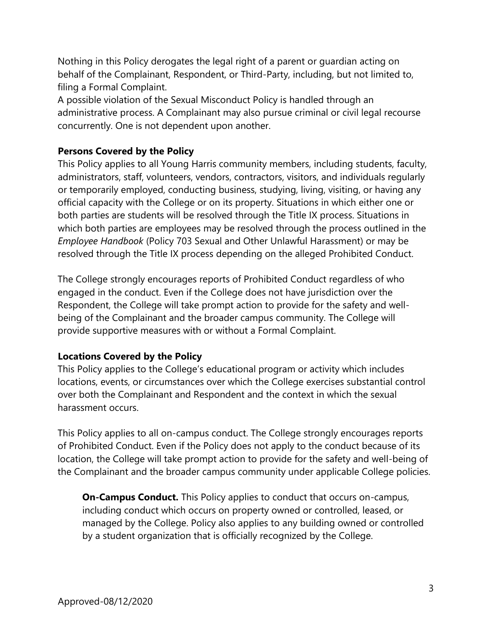Nothing in this Policy derogates the legal right of a parent or guardian acting on behalf of the Complainant, Respondent, or Third-Party, including, but not limited to, filing a Formal Complaint.

A possible violation of the Sexual Misconduct Policy is handled through an administrative process. A Complainant may also pursue criminal or civil legal recourse concurrently. One is not dependent upon another.

### **Persons Covered by the Policy**

This Policy applies to all Young Harris community members, including students, faculty, administrators, staff, volunteers, vendors, contractors, visitors, and individuals regularly or temporarily employed, conducting business, studying, living, visiting, or having any official capacity with the College or on its property. Situations in which either one or both parties are students will be resolved through the Title IX process. Situations in which both parties are employees may be resolved through the process outlined in the *Employee Handbook* (Policy 703 Sexual and Other Unlawful Harassment) or may be resolved through the Title IX process depending on the alleged Prohibited Conduct.

The College strongly encourages reports of Prohibited Conduct regardless of who engaged in the conduct. Even if the College does not have jurisdiction over the Respondent, the College will take prompt action to provide for the safety and wellbeing of the Complainant and the broader campus community. The College will provide supportive measures with or without a Formal Complaint.

### **Locations Covered by the Policy**

This Policy applies to the College's educational program or activity which includes locations, events, or circumstances over which the College exercises substantial control over both the Complainant and Respondent and the context in which the sexual harassment occurs.

This Policy applies to all on-campus conduct. The College strongly encourages reports of Prohibited Conduct. Even if the Policy does not apply to the conduct because of its location, the College will take prompt action to provide for the safety and well-being of the Complainant and the broader campus community under applicable College policies.

**On-Campus Conduct.** This Policy applies to conduct that occurs on-campus, including conduct which occurs on property owned or controlled, leased, or managed by the College. Policy also applies to any building owned or controlled by a student organization that is officially recognized by the College.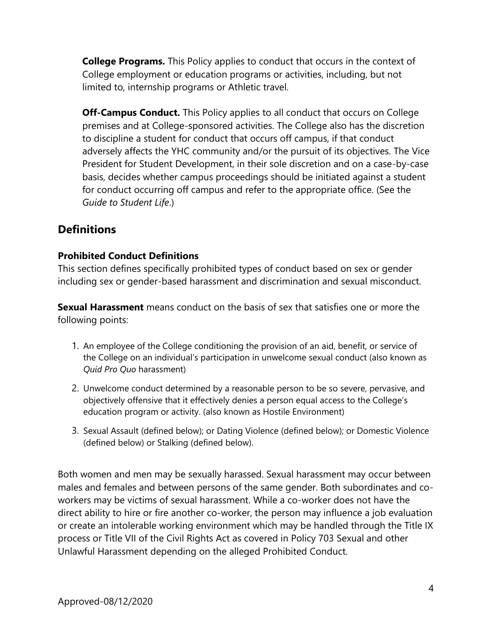**College Programs.** This Policy applies to conduct that occurs in the context of College employment or education programs or activities, including, but not limited to, internship programs or Athletic travel.

**Off-Campus Conduct.** This Policy applies to all conduct that occurs on College premises and at College-sponsored activities. The College also has the discretion to discipline a student for conduct that occurs off campus, if that conduct adversely affects the YHC community and/or the pursuit of its objectives. The Vice President for Student Development, in their sole discretion and on a case-by-case basis, decides whether campus proceedings should be initiated against a student for conduct occurring off campus and refer to the appropriate office. (See the *Guide to Student Life*.)

# **Definitions**

### **Prohibited Conduct Definitions**

This section defines specifically prohibited types of conduct based on sex or gender including sex or gender-based harassment and discrimination and sexual misconduct.

**Sexual Harassment** means conduct on the basis of sex that satisfies one or more the following points:

- 1. An employee of the College conditioning the provision of an aid, benefit, or service of the College on an individual's participation in unwelcome sexual conduct (also known as *Quid Pro Quo* harassment)
- 2. Unwelcome conduct determined by a reasonable person to be so severe, pervasive, and objectively offensive that it effectively denies a person equal access to the College's education program or activity. (also known as Hostile Environment)
- 3. Sexual Assault (defined below); or Dating Violence (defined below); or Domestic Violence (defined below) or Stalking (defined below).

Both women and men may be sexually harassed. Sexual harassment may occur between males and females and between persons of the same gender. Both subordinates and coworkers may be victims of sexual harassment. While a co-worker does not have the direct ability to hire or fire another co-worker, the person may influence a job evaluation or create an intolerable working environment which may be handled through the Title IX process or Title VII of the Civil Rights Act as covered in Policy 703 Sexual and other Unlawful Harassment depending on the alleged Prohibited Conduct.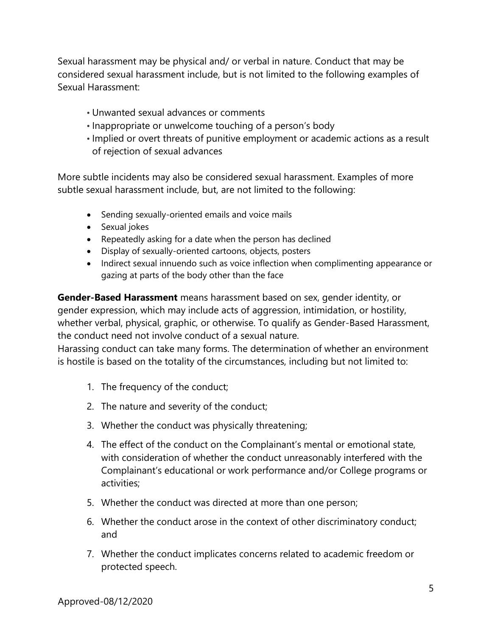Sexual harassment may be physical and/ or verbal in nature. Conduct that may be considered sexual harassment include, but is not limited to the following examples of Sexual Harassment:

- Unwanted sexual advances or comments
- Inappropriate or unwelcome touching of a person's body
- Implied or overt threats of punitive employment or academic actions as a result of rejection of sexual advances

More subtle incidents may also be considered sexual harassment. Examples of more subtle sexual harassment include, but, are not limited to the following:

- Sending sexually-oriented emails and voice mails
- Sexual jokes
- Repeatedly asking for a date when the person has declined
- Display of sexually-oriented cartoons, objects, posters
- Indirect sexual innuendo such as voice inflection when complimenting appearance or gazing at parts of the body other than the face

**Gender-Based Harassment** means harassment based on sex, gender identity, or gender expression, which may include acts of aggression, intimidation, or hostility, whether verbal, physical, graphic, or otherwise. To qualify as Gender-Based Harassment, the conduct need not involve conduct of a sexual nature.

Harassing conduct can take many forms. The determination of whether an environment is hostile is based on the totality of the circumstances, including but not limited to:

- 1. The frequency of the conduct;
- 2. The nature and severity of the conduct;
- 3. Whether the conduct was physically threatening;
- 4. The effect of the conduct on the Complainant's mental or emotional state, with consideration of whether the conduct unreasonably interfered with the Complainant's educational or work performance and/or College programs or activities;
- 5. Whether the conduct was directed at more than one person;
- 6. Whether the conduct arose in the context of other discriminatory conduct; and
- 7. Whether the conduct implicates concerns related to academic freedom or protected speech.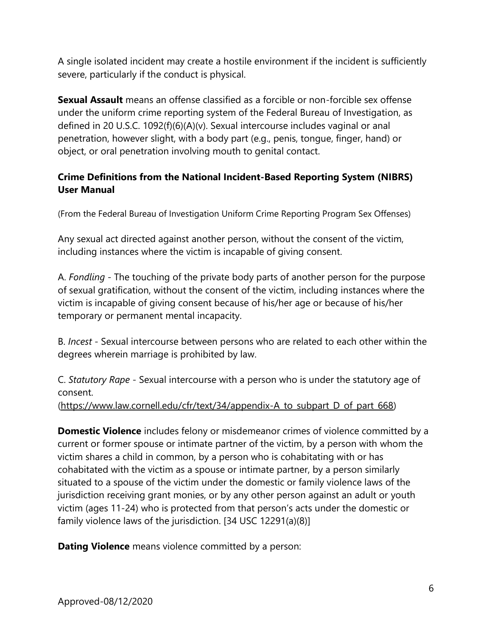A single isolated incident may create a hostile environment if the incident is sufficiently severe, particularly if the conduct is physical.

**Sexual Assault** means an offense classified as a forcible or non-forcible sex offense under the uniform crime reporting system of the Federal Bureau of Investigation, as defined in 20 U.S.C. 1092(f)(6)(A)(v). Sexual intercourse includes vaginal or anal penetration, however slight, with a body part (e.g., penis, tongue, finger, hand) or object, or oral penetration involving mouth to genital contact.

### **Crime Definitions from the National Incident-Based Reporting System (NIBRS) User Manual**

(From the Federal Bureau of Investigation Uniform Crime Reporting Program Sex Offenses)

Any sexual act directed against another person, without the consent of the victim, including instances where the victim is incapable of giving consent.

A. *Fondling* - The touching of the private body parts of another person for the purpose of sexual gratification, without the consent of the victim, including instances where the victim is incapable of giving consent because of his/her age or because of his/her temporary or permanent mental incapacity.

B. *Incest* - Sexual intercourse between persons who are related to each other within the degrees wherein marriage is prohibited by law.

C. *Statutory Rape* - Sexual intercourse with a person who is under the statutory age of consent.

[\(https://www.law.cornell.edu/cfr/text/34/appendix-A\\_to\\_subpart\\_D\\_of\\_part\\_668\)](https://www.law.cornell.edu/cfr/text/34/appendix-A_to_subpart_D_of_part_668)

**Domestic Violence** includes felony or misdemeanor crimes of violence committed by a current or former spouse or intimate partner of the victim, by a person with whom the victim shares a child in common, by a person who is cohabitating with or has cohabitated with the victim as a spouse or intimate partner, by a person similarly situated to a spouse of the victim under the domestic or family violence laws of the jurisdiction receiving grant monies, or by any other person against an adult or youth victim (ages 11-24) who is protected from that person's acts under the domestic or family violence laws of the jurisdiction. [34 USC 12291(a)(8)]

**Dating Violence** means violence committed by a person: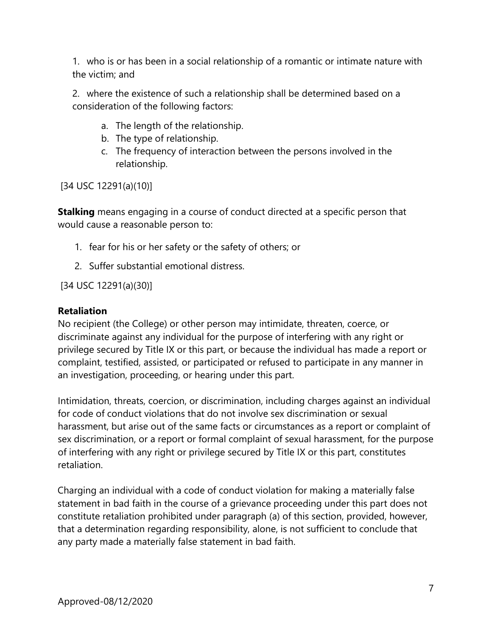1. who is or has been in a social relationship of a romantic or intimate nature with the victim; and

2. where the existence of such a relationship shall be determined based on a consideration of the following factors:

- a. The length of the relationship.
- b. The type of relationship.
- c. The frequency of interaction between the persons involved in the relationship.

[34 USC 12291(a)(10)]

**Stalking** means engaging in a course of conduct directed at a specific person that would cause a reasonable person to:

- 1. fear for his or her safety or the safety of others; or
- 2. Suffer substantial emotional distress.

[34 USC 12291(a)(30)]

#### **Retaliation**

No recipient (the College) or other person may intimidate, threaten, coerce, or discriminate against any individual for the purpose of interfering with any right or privilege secured by Title IX or this part, or because the individual has made a report or complaint, testified, assisted, or participated or refused to participate in any manner in an investigation, proceeding, or hearing under this part.

Intimidation, threats, coercion, or discrimination, including charges against an individual for code of conduct violations that do not involve sex discrimination or sexual harassment, but arise out of the same facts or circumstances as a report or complaint of sex discrimination, or a report or formal complaint of sexual harassment, for the purpose of interfering with any right or privilege secured by Title IX or this part, constitutes retaliation.

Charging an individual with a code of conduct violation for making a materially false statement in bad faith in the course of a grievance proceeding under this part does not constitute retaliation prohibited under paragraph (a) of this section, provided, however, that a determination regarding responsibility, alone, is not sufficient to conclude that any party made a materially false statement in bad faith.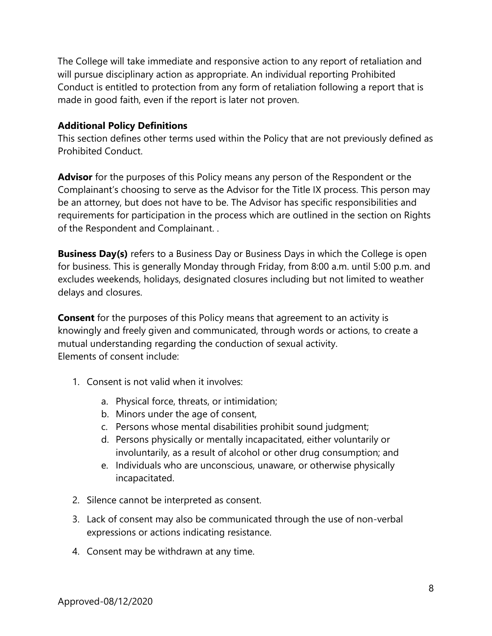The College will take immediate and responsive action to any report of retaliation and will pursue disciplinary action as appropriate. An individual reporting Prohibited Conduct is entitled to protection from any form of retaliation following a report that is made in good faith, even if the report is later not proven.

### **Additional Policy Definitions**

This section defines other terms used within the Policy that are not previously defined as Prohibited Conduct.

**Advisor** for the purposes of this Policy means any person of the Respondent or the Complainant's choosing to serve as the Advisor for the Title IX process. This person may be an attorney, but does not have to be. The Advisor has specific responsibilities and requirements for participation in the process which are outlined in the section on Rights of the Respondent and Complainant. .

**Business Day(s)** refers to a Business Day or Business Days in which the College is open for business. This is generally Monday through Friday, from 8:00 a.m. until 5:00 p.m. and excludes weekends, holidays, designated closures including but not limited to weather delays and closures.

**Consent** for the purposes of this Policy means that agreement to an activity is knowingly and freely given and communicated, through words or actions, to create a mutual understanding regarding the conduction of sexual activity. Elements of consent include:

- 1. Consent is not valid when it involves:
	- a. Physical force, threats, or intimidation;
	- b. Minors under the age of consent,
	- c. Persons whose mental disabilities prohibit sound judgment;
	- d. Persons physically or mentally incapacitated, either voluntarily or involuntarily, as a result of alcohol or other drug consumption; and
	- e. Individuals who are unconscious, unaware, or otherwise physically incapacitated.
- 2. Silence cannot be interpreted as consent.
- 3. Lack of consent may also be communicated through the use of non-verbal expressions or actions indicating resistance.
- 4. Consent may be withdrawn at any time.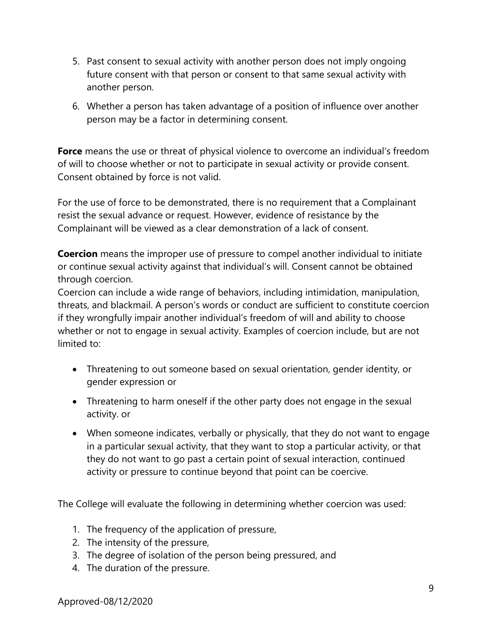- 5. Past consent to sexual activity with another person does not imply ongoing future consent with that person or consent to that same sexual activity with another person.
- 6. Whether a person has taken advantage of a position of influence over another person may be a factor in determining consent.

**Force** means the use or threat of physical violence to overcome an individual's freedom of will to choose whether or not to participate in sexual activity or provide consent. Consent obtained by force is not valid.

For the use of force to be demonstrated, there is no requirement that a Complainant resist the sexual advance or request. However, evidence of resistance by the Complainant will be viewed as a clear demonstration of a lack of consent.

**Coercion** means the improper use of pressure to compel another individual to initiate or continue sexual activity against that individual's will. Consent cannot be obtained through coercion.

Coercion can include a wide range of behaviors, including intimidation, manipulation, threats, and blackmail. A person's words or conduct are sufficient to constitute coercion if they wrongfully impair another individual's freedom of will and ability to choose whether or not to engage in sexual activity. Examples of coercion include, but are not limited to:

- Threatening to out someone based on sexual orientation, gender identity, or gender expression or
- Threatening to harm oneself if the other party does not engage in the sexual activity. or
- When someone indicates, verbally or physically, that they do not want to engage in a particular sexual activity, that they want to stop a particular activity, or that they do not want to go past a certain point of sexual interaction, continued activity or pressure to continue beyond that point can be coercive.

The College will evaluate the following in determining whether coercion was used:

- 1. The frequency of the application of pressure,
- 2. The intensity of the pressure,
- 3. The degree of isolation of the person being pressured, and
- 4. The duration of the pressure.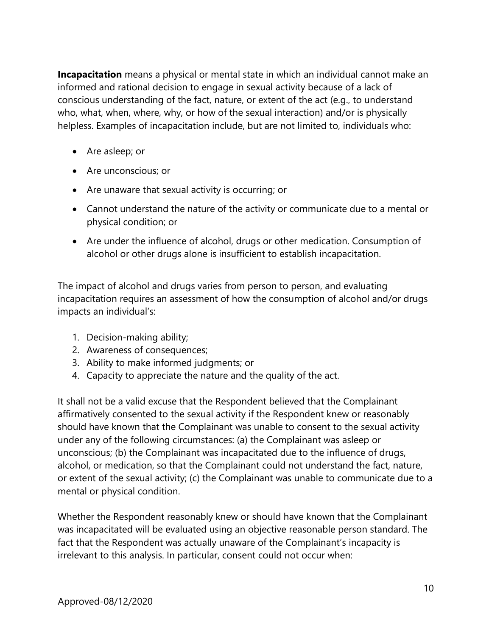**Incapacitation** means a physical or mental state in which an individual cannot make an informed and rational decision to engage in sexual activity because of a lack of conscious understanding of the fact, nature, or extent of the act (e.g., to understand who, what, when, where, why, or how of the sexual interaction) and/or is physically helpless. Examples of incapacitation include, but are not limited to, individuals who:

- Are asleep; or
- Are unconscious; or
- Are unaware that sexual activity is occurring; or
- Cannot understand the nature of the activity or communicate due to a mental or physical condition; or
- Are under the influence of alcohol, drugs or other medication. Consumption of alcohol or other drugs alone is insufficient to establish incapacitation.

The impact of alcohol and drugs varies from person to person, and evaluating incapacitation requires an assessment of how the consumption of alcohol and/or drugs impacts an individual's:

- 1. Decision-making ability;
- 2. Awareness of consequences;
- 3. Ability to make informed judgments; or
- 4. Capacity to appreciate the nature and the quality of the act.

It shall not be a valid excuse that the Respondent believed that the Complainant affirmatively consented to the sexual activity if the Respondent knew or reasonably should have known that the Complainant was unable to consent to the sexual activity under any of the following circumstances: (a) the Complainant was asleep or unconscious; (b) the Complainant was incapacitated due to the influence of drugs, alcohol, or medication, so that the Complainant could not understand the fact, nature, or extent of the sexual activity; (c) the Complainant was unable to communicate due to a mental or physical condition.

Whether the Respondent reasonably knew or should have known that the Complainant was incapacitated will be evaluated using an objective reasonable person standard. The fact that the Respondent was actually unaware of the Complainant's incapacity is irrelevant to this analysis. In particular, consent could not occur when: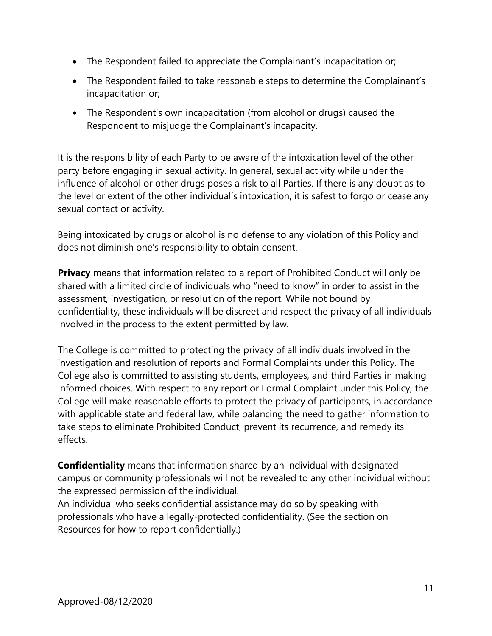- The Respondent failed to appreciate the Complainant's incapacitation or;
- The Respondent failed to take reasonable steps to determine the Complainant's incapacitation or;
- The Respondent's own incapacitation (from alcohol or drugs) caused the Respondent to misjudge the Complainant's incapacity.

It is the responsibility of each Party to be aware of the intoxication level of the other party before engaging in sexual activity. In general, sexual activity while under the influence of alcohol or other drugs poses a risk to all Parties. If there is any doubt as to the level or extent of the other individual's intoxication, it is safest to forgo or cease any sexual contact or activity.

Being intoxicated by drugs or alcohol is no defense to any violation of this Policy and does not diminish one's responsibility to obtain consent.

**Privacy** means that information related to a report of Prohibited Conduct will only be shared with a limited circle of individuals who "need to know" in order to assist in the assessment, investigation, or resolution of the report. While not bound by confidentiality, these individuals will be discreet and respect the privacy of all individuals involved in the process to the extent permitted by law.

The College is committed to protecting the privacy of all individuals involved in the investigation and resolution of reports and Formal Complaints under this Policy. The College also is committed to assisting students, employees, and third Parties in making informed choices. With respect to any report or Formal Complaint under this Policy, the College will make reasonable efforts to protect the privacy of participants, in accordance with applicable state and federal law, while balancing the need to gather information to take steps to eliminate Prohibited Conduct, prevent its recurrence, and remedy its effects.

**Confidentiality** means that information shared by an individual with designated campus or community professionals will not be revealed to any other individual without the expressed permission of the individual.

An individual who seeks confidential assistance may do so by speaking with professionals who have a legally-protected confidentiality. (See the section on Resources for how to report confidentially.)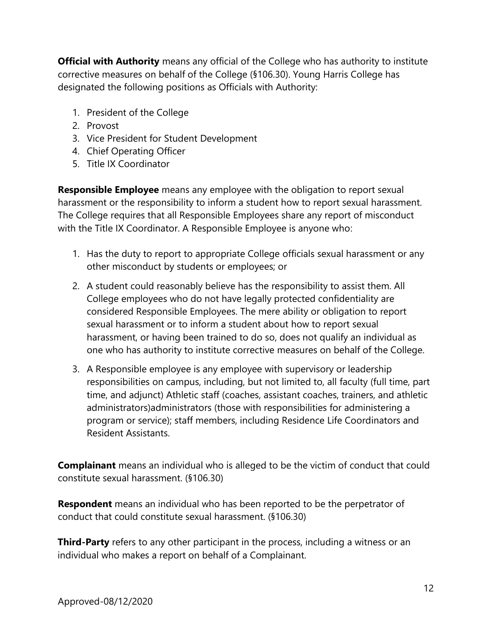**Official with Authority** means any official of the College who has authority to institute corrective measures on behalf of the College (§106.30). Young Harris College has designated the following positions as Officials with Authority:

- 1. President of the College
- 2. Provost
- 3. Vice President for Student Development
- 4. Chief Operating Officer
- 5. Title IX Coordinator

**Responsible Employee** means any employee with the obligation to report sexual harassment or the responsibility to inform a student how to report sexual harassment. The College requires that all Responsible Employees share any report of misconduct with the Title IX Coordinator. A Responsible Employee is anyone who:

- 1. Has the duty to report to appropriate College officials sexual harassment or any other misconduct by students or employees; or
- 2. A student could reasonably believe has the responsibility to assist them. All College employees who do not have legally protected confidentiality are considered Responsible Employees. The mere ability or obligation to report sexual harassment or to inform a student about how to report sexual harassment, or having been trained to do so, does not qualify an individual as one who has authority to institute corrective measures on behalf of the College.
- 3. A Responsible employee is any employee with supervisory or leadership responsibilities on campus, including, but not limited to, all faculty (full time, part time, and adjunct) Athletic staff (coaches, assistant coaches, trainers, and athletic administrators)administrators (those with responsibilities for administering a program or service); staff members, including Residence Life Coordinators and Resident Assistants.

**Complainant** means an individual who is alleged to be the victim of conduct that could constitute sexual harassment. (§106.30)

**Respondent** means an individual who has been reported to be the perpetrator of conduct that could constitute sexual harassment. (§106.30)

**Third-Party** refers to any other participant in the process, including a witness or an individual who makes a report on behalf of a Complainant.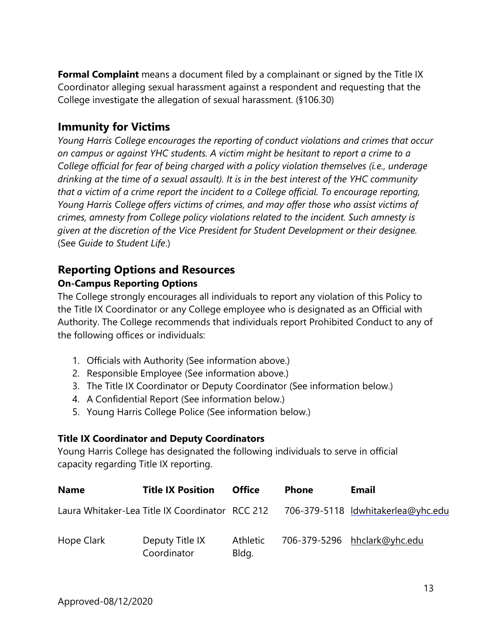**Formal Complaint** means a document filed by a complainant or signed by the Title IX Coordinator alleging sexual harassment against a respondent and requesting that the College investigate the allegation of sexual harassment. (§106.30)

# **Immunity for Victims**

*Young Harris College encourages the reporting of conduct violations and crimes that occur on campus or against YHC students. A victim might be hesitant to report a crime to a College official for fear of being charged with a policy violation themselves (i.e., underage drinking at the time of a sexual assault). It is in the best interest of the YHC community that a victim of a crime report the incident to a College official. To encourage reporting, Young Harris College offers victims of crimes, and may offer those who assist victims of crimes, amnesty from College policy violations related to the incident. Such amnesty is given at the discretion of the Vice President for Student Development or their designee.* (See *Guide to Student Life*.)

# **Reporting Options and Resources**

### **On-Campus Reporting Options**

The College strongly encourages all individuals to report any violation of this Policy to the Title IX Coordinator or any College employee who is designated as an Official with Authority. The College recommends that individuals report Prohibited Conduct to any of the following offices or individuals:

- 1. Officials with Authority (See information above.)
- 2. Responsible Employee (See information above.)
- 3. The Title IX Coordinator or Deputy Coordinator (See information below.)
- 4. A Confidential Report (See information below.)
- 5. Young Harris College Police (See information below.)

### **Title IX Coordinator and Deputy Coordinators**

Young Harris College has designated the following individuals to serve in official capacity regarding Title IX reporting.

| <b>Name</b> | <b>Title IX Position</b>                        | <b>Office</b>     | <b>Phone</b> | <b>Email</b>                       |
|-------------|-------------------------------------------------|-------------------|--------------|------------------------------------|
|             | Laura Whitaker-Lea Title IX Coordinator RCC 212 |                   |              | 706-379-5118 ldwhitakerlea@yhc.edu |
| Hope Clark  | Deputy Title IX<br>Coordinator                  | Athletic<br>Bldg. |              | 706-379-5296 hhclark@yhc.edu       |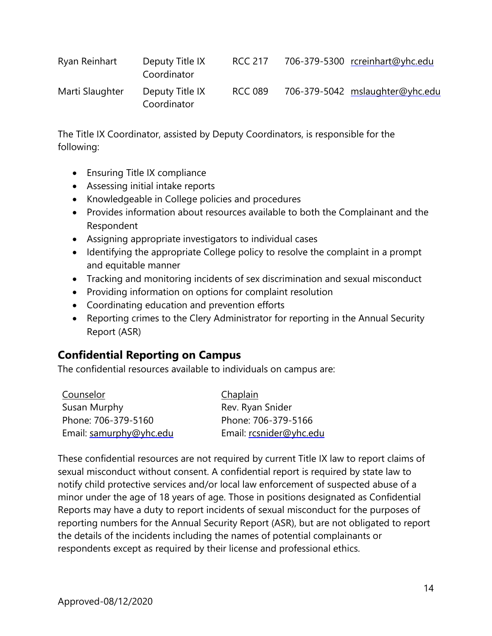| Ryan Reinhart   | Deputy Title IX<br>Coordinator | RCC 217        | 706-379-5300 rcreinhart@yhc.edu |
|-----------------|--------------------------------|----------------|---------------------------------|
| Marti Slaughter | Deputy Title IX<br>Coordinator | <b>RCC 089</b> | 706-379-5042 mslaughter@yhc.edu |

The Title IX Coordinator, assisted by Deputy Coordinators, is responsible for the following:

- Ensuring Title IX compliance
- Assessing initial intake reports
- Knowledgeable in College policies and procedures
- Provides information about resources available to both the Complainant and the Respondent
- Assigning appropriate investigators to individual cases
- Identifying the appropriate College policy to resolve the complaint in a prompt and equitable manner
- Tracking and monitoring incidents of sex discrimination and sexual misconduct
- Providing information on options for complaint resolution
- Coordinating education and prevention efforts
- Reporting crimes to the Clery Administrator for reporting in the Annual Security Report (ASR)

# **Confidential Reporting on Campus**

The confidential resources available to individuals on campus are:

| Counselor               | Chaplain                |
|-------------------------|-------------------------|
| Susan Murphy            | Rev. Ryan Snider        |
| Phone: 706-379-5160     | Phone: 706-379-5166     |
| Email: samurphy@yhc.edu | Email: rcsnider@yhc.edu |

These confidential resources are not required by current Title IX law to report claims of sexual misconduct without consent. A confidential report is required by state law to notify child protective services and/or local law enforcement of suspected abuse of a minor under the age of 18 years of age. Those in positions designated as Confidential Reports may have a duty to report incidents of sexual misconduct for the purposes of reporting numbers for the Annual Security Report (ASR), but are not obligated to report the details of the incidents including the names of potential complainants or respondents except as required by their license and professional ethics.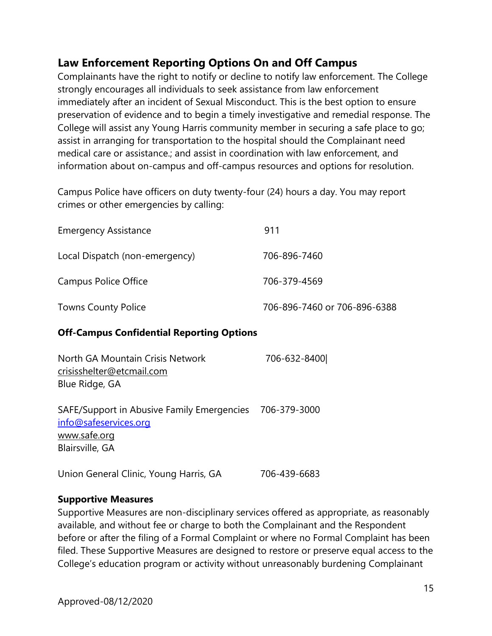# **Law Enforcement Reporting Options On and Off Campus**

Complainants have the right to notify or decline to notify law enforcement. The College strongly encourages all individuals to seek assistance from law enforcement immediately after an incident of Sexual Misconduct. This is the best option to ensure preservation of evidence and to begin a timely investigative and remedial response. The College will assist any Young Harris community member in securing a safe place to go; assist in arranging for transportation to the hospital should the Complainant need medical care or assistance.; and assist in coordination with law enforcement, and information about on-campus and off-campus resources and options for resolution.

Campus Police have officers on duty twenty-four (24) hours a day. You may report crimes or other emergencies by calling:

| <b>Emergency Assistance</b>    | 911                          |
|--------------------------------|------------------------------|
| Local Dispatch (non-emergency) | 706-896-7460                 |
| <b>Campus Police Office</b>    | 706-379-4569                 |
| <b>Towns County Police</b>     | 706-896-7460 or 706-896-6388 |

### **Off-Campus Confidential Reporting Options**

| North GA Mountain Crisis Network<br>crisisshelter@etcmail.com                                          | 706-632-8400 |  |
|--------------------------------------------------------------------------------------------------------|--------------|--|
| Blue Ridge, GA                                                                                         |              |  |
| SAFE/Support in Abusive Family Emergencies<br>info@safeservices.org<br>www.safe.org<br>Blairsville, GA | 706-379-3000 |  |
| Union General Clinic, Young Harris, GA                                                                 | 706-439-6683 |  |

### **Supportive Measures**

Supportive Measures are non-disciplinary services offered as appropriate, as reasonably available, and without fee or charge to both the Complainant and the Respondent before or after the filing of a Formal Complaint or where no Formal Complaint has been filed. These Supportive Measures are designed to restore or preserve equal access to the College's education program or activity without unreasonably burdening Complainant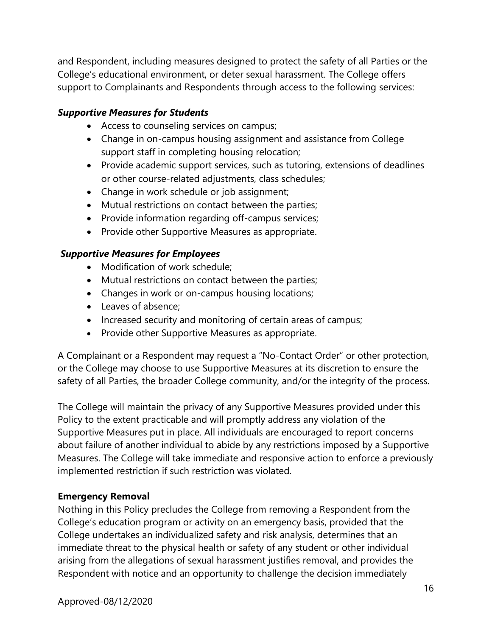and Respondent, including measures designed to protect the safety of all Parties or the College's educational environment, or deter sexual harassment. The College offers support to Complainants and Respondents through access to the following services:

### *Supportive Measures for Students*

- Access to counseling services on campus;
- Change in on-campus housing assignment and assistance from College support staff in completing housing relocation;
- Provide academic support services, such as tutoring, extensions of deadlines or other course-related adjustments, class schedules;
- Change in work schedule or job assignment;
- Mutual restrictions on contact between the parties;
- Provide information regarding off-campus services;
- Provide other Supportive Measures as appropriate.

### *Supportive Measures for Employees*

- Modification of work schedule;
- Mutual restrictions on contact between the parties;
- Changes in work or on-campus housing locations;
- Leaves of absence;
- Increased security and monitoring of certain areas of campus;
- Provide other Supportive Measures as appropriate.

A Complainant or a Respondent may request a "No-Contact Order" or other protection, or the College may choose to use Supportive Measures at its discretion to ensure the safety of all Parties, the broader College community, and/or the integrity of the process.

The College will maintain the privacy of any Supportive Measures provided under this Policy to the extent practicable and will promptly address any violation of the Supportive Measures put in place. All individuals are encouraged to report concerns about failure of another individual to abide by any restrictions imposed by a Supportive Measures. The College will take immediate and responsive action to enforce a previously implemented restriction if such restriction was violated.

### **Emergency Removal**

Nothing in this Policy precludes the College from removing a Respondent from the College's education program or activity on an emergency basis, provided that the College undertakes an individualized safety and risk analysis, determines that an immediate threat to the physical health or safety of any student or other individual arising from the allegations of sexual harassment justifies removal, and provides the Respondent with notice and an opportunity to challenge the decision immediately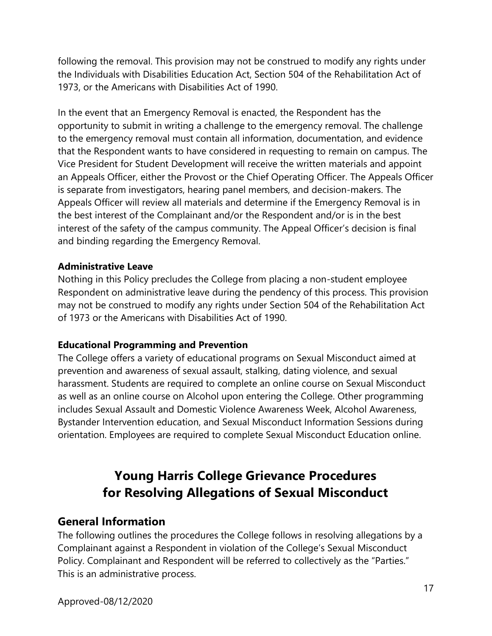following the removal. This provision may not be construed to modify any rights under the Individuals with Disabilities Education Act, Section 504 of the Rehabilitation Act of 1973, or the Americans with Disabilities Act of 1990.

In the event that an Emergency Removal is enacted, the Respondent has the opportunity to submit in writing a challenge to the emergency removal. The challenge to the emergency removal must contain all information, documentation, and evidence that the Respondent wants to have considered in requesting to remain on campus. The Vice President for Student Development will receive the written materials and appoint an Appeals Officer, either the Provost or the Chief Operating Officer. The Appeals Officer is separate from investigators, hearing panel members, and decision-makers. The Appeals Officer will review all materials and determine if the Emergency Removal is in the best interest of the Complainant and/or the Respondent and/or is in the best interest of the safety of the campus community. The Appeal Officer's decision is final and binding regarding the Emergency Removal.

#### **Administrative Leave**

Nothing in this Policy precludes the College from placing a non-student employee Respondent on administrative leave during the pendency of this process. This provision may not be construed to modify any rights under Section 504 of the Rehabilitation Act of 1973 or the Americans with Disabilities Act of 1990.

### **Educational Programming and Prevention**

The College offers a variety of educational programs on Sexual Misconduct aimed at prevention and awareness of sexual assault, stalking, dating violence, and sexual harassment. Students are required to complete an online course on Sexual Misconduct as well as an online course on Alcohol upon entering the College. Other programming includes Sexual Assault and Domestic Violence Awareness Week, Alcohol Awareness, Bystander Intervention education, and Sexual Misconduct Information Sessions during orientation. Employees are required to complete Sexual Misconduct Education online.

# **Young Harris College Grievance Procedures for Resolving Allegations of Sexual Misconduct**

### **General Information**

The following outlines the procedures the College follows in resolving allegations by a Complainant against a Respondent in violation of the College's Sexual Misconduct Policy. Complainant and Respondent will be referred to collectively as the "Parties." This is an administrative process.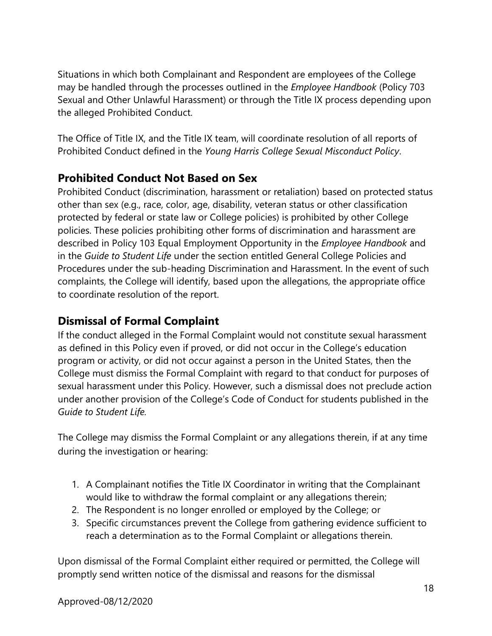Situations in which both Complainant and Respondent are employees of the College may be handled through the processes outlined in the *Employee Handbook* (Policy 703 Sexual and Other Unlawful Harassment) or through the Title IX process depending upon the alleged Prohibited Conduct.

The Office of Title IX, and the Title IX team, will coordinate resolution of all reports of Prohibited Conduct defined in the *Young Harris College Sexual Misconduct Policy*.

# **Prohibited Conduct Not Based on Sex**

Prohibited Conduct (discrimination, harassment or retaliation) based on protected status other than sex (e.g., race, color, age, disability, veteran status or other classification protected by federal or state law or College policies) is prohibited by other College policies. These policies prohibiting other forms of discrimination and harassment are described in Policy 103 Equal Employment Opportunity in the *Employee Handbook* and in the *Guide to Student Life* under the section entitled General College Policies and Procedures under the sub-heading Discrimination and Harassment. In the event of such complaints, the College will identify, based upon the allegations, the appropriate office to coordinate resolution of the report.

# **Dismissal of Formal Complaint**

If the conduct alleged in the Formal Complaint would not constitute sexual harassment as defined in this Policy even if proved, or did not occur in the College's education program or activity, or did not occur against a person in the United States, then the College must dismiss the Formal Complaint with regard to that conduct for purposes of sexual harassment under this Policy. However, such a dismissal does not preclude action under another provision of the College's Code of Conduct for students published in the *Guide to Student Life.*

The College may dismiss the Formal Complaint or any allegations therein, if at any time during the investigation or hearing:

- 1. A Complainant notifies the Title IX Coordinator in writing that the Complainant would like to withdraw the formal complaint or any allegations therein;
- 2. The Respondent is no longer enrolled or employed by the College; or
- 3. Specific circumstances prevent the College from gathering evidence sufficient to reach a determination as to the Formal Complaint or allegations therein.

Upon dismissal of the Formal Complaint either required or permitted, the College will promptly send written notice of the dismissal and reasons for the dismissal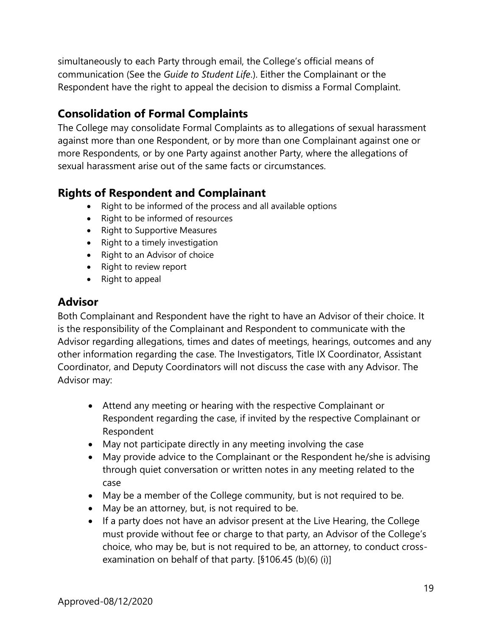simultaneously to each Party through email, the College's official means of communication (See the *Guide to Student Life*.). Either the Complainant or the Respondent have the right to appeal the decision to dismiss a Formal Complaint.

# **Consolidation of Formal Complaints**

The College may consolidate Formal Complaints as to allegations of sexual harassment against more than one Respondent, or by more than one Complainant against one or more Respondents, or by one Party against another Party, where the allegations of sexual harassment arise out of the same facts or circumstances.

# **Rights of Respondent and Complainant**

- Right to be informed of the process and all available options
- Right to be informed of resources
- Right to Supportive Measures
- Right to a timely investigation
- Right to an Advisor of choice
- Right to review report
- Right to appeal

### **Advisor**

Both Complainant and Respondent have the right to have an Advisor of their choice. It is the responsibility of the Complainant and Respondent to communicate with the Advisor regarding allegations, times and dates of meetings, hearings, outcomes and any other information regarding the case. The Investigators, Title IX Coordinator, Assistant Coordinator, and Deputy Coordinators will not discuss the case with any Advisor. The Advisor may:

- Attend any meeting or hearing with the respective Complainant or Respondent regarding the case, if invited by the respective Complainant or Respondent
- May not participate directly in any meeting involving the case
- May provide advice to the Complainant or the Respondent he/she is advising through quiet conversation or written notes in any meeting related to the case
- May be a member of the College community, but is not required to be.
- May be an attorney, but, is not required to be.
- If a party does not have an advisor present at the Live Hearing, the College must provide without fee or charge to that party, an Advisor of the College's choice, who may be, but is not required to be, an attorney, to conduct crossexamination on behalf of that party. [§106.45 (b)(6) (i)]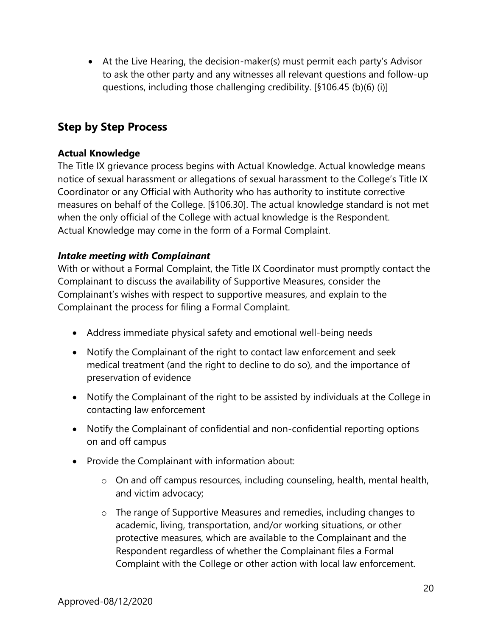At the Live Hearing, the decision-maker(s) must permit each party's Advisor to ask the other party and any witnesses all relevant questions and follow-up questions, including those challenging credibility. [§106.45 (b)(6) (i)]

# **Step by Step Process**

### **Actual Knowledge**

The Title IX grievance process begins with Actual Knowledge. Actual knowledge means notice of sexual harassment or allegations of sexual harassment to the College's Title IX Coordinator or any Official with Authority who has authority to institute corrective measures on behalf of the College. [§106.30]. The actual knowledge standard is not met when the only official of the College with actual knowledge is the Respondent. Actual Knowledge may come in the form of a Formal Complaint.

### *Intake meeting with Complainant*

With or without a Formal Complaint, the Title IX Coordinator must promptly contact the Complainant to discuss the availability of Supportive Measures, consider the Complainant's wishes with respect to supportive measures, and explain to the Complainant the process for filing a Formal Complaint.

- Address immediate physical safety and emotional well-being needs
- Notify the Complainant of the right to contact law enforcement and seek medical treatment (and the right to decline to do so), and the importance of preservation of evidence
- Notify the Complainant of the right to be assisted by individuals at the College in contacting law enforcement
- Notify the Complainant of confidential and non-confidential reporting options on and off campus
- Provide the Complainant with information about:
	- o On and off campus resources, including counseling, health, mental health, and victim advocacy;
	- o The range of Supportive Measures and remedies, including changes to academic, living, transportation, and/or working situations, or other protective measures, which are available to the Complainant and the Respondent regardless of whether the Complainant files a Formal Complaint with the College or other action with local law enforcement.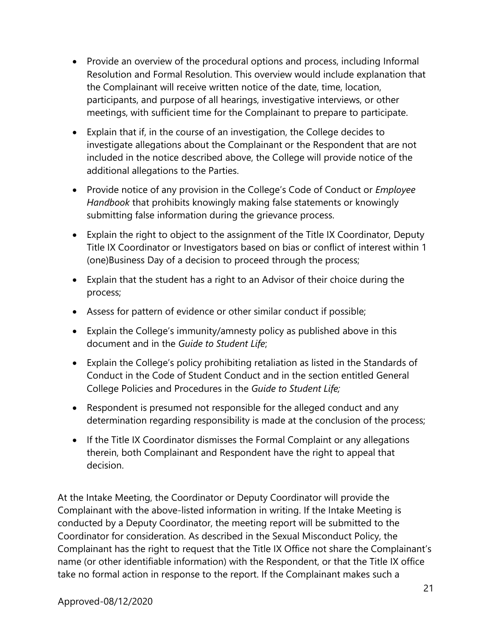- Provide an overview of the procedural options and process, including Informal Resolution and Formal Resolution. This overview would include explanation that the Complainant will receive written notice of the date, time, location, participants, and purpose of all hearings, investigative interviews, or other meetings, with sufficient time for the Complainant to prepare to participate.
- Explain that if, in the course of an investigation, the College decides to investigate allegations about the Complainant or the Respondent that are not included in the notice described above, the College will provide notice of the additional allegations to the Parties.
- Provide notice of any provision in the College's Code of Conduct or *Employee Handbook* that prohibits knowingly making false statements or knowingly submitting false information during the grievance process.
- Explain the right to object to the assignment of the Title IX Coordinator, Deputy Title IX Coordinator or Investigators based on bias or conflict of interest within 1 (one)Business Day of a decision to proceed through the process;
- Explain that the student has a right to an Advisor of their choice during the process;
- Assess for pattern of evidence or other similar conduct if possible;
- Explain the College's immunity/amnesty policy as published above in this document and in the *Guide to Student Life*;
- Explain the College's policy prohibiting retaliation as listed in the Standards of Conduct in the Code of Student Conduct and in the section entitled General College Policies and Procedures in the *Guide to Student Life;*
- Respondent is presumed not responsible for the alleged conduct and any determination regarding responsibility is made at the conclusion of the process;
- If the Title IX Coordinator dismisses the Formal Complaint or any allegations therein, both Complainant and Respondent have the right to appeal that decision.

At the Intake Meeting, the Coordinator or Deputy Coordinator will provide the Complainant with the above-listed information in writing. If the Intake Meeting is conducted by a Deputy Coordinator, the meeting report will be submitted to the Coordinator for consideration. As described in the Sexual Misconduct Policy, the Complainant has the right to request that the Title IX Office not share the Complainant's name (or other identifiable information) with the Respondent, or that the Title IX office take no formal action in response to the report. If the Complainant makes such a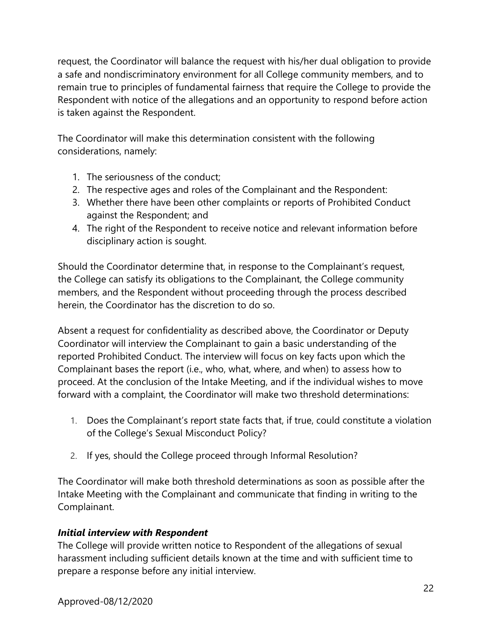request, the Coordinator will balance the request with his/her dual obligation to provide a safe and nondiscriminatory environment for all College community members, and to remain true to principles of fundamental fairness that require the College to provide the Respondent with notice of the allegations and an opportunity to respond before action is taken against the Respondent.

The Coordinator will make this determination consistent with the following considerations, namely:

- 1. The seriousness of the conduct;
- 2. The respective ages and roles of the Complainant and the Respondent:
- 3. Whether there have been other complaints or reports of Prohibited Conduct against the Respondent; and
- 4. The right of the Respondent to receive notice and relevant information before disciplinary action is sought.

Should the Coordinator determine that, in response to the Complainant's request, the College can satisfy its obligations to the Complainant, the College community members, and the Respondent without proceeding through the process described herein, the Coordinator has the discretion to do so.

Absent a request for confidentiality as described above, the Coordinator or Deputy Coordinator will interview the Complainant to gain a basic understanding of the reported Prohibited Conduct. The interview will focus on key facts upon which the Complainant bases the report (i.e., who, what, where, and when) to assess how to proceed. At the conclusion of the Intake Meeting, and if the individual wishes to move forward with a complaint, the Coordinator will make two threshold determinations:

- 1. Does the Complainant's report state facts that, if true, could constitute a violation of the College's Sexual Misconduct Policy?
- 2. If yes, should the College proceed through Informal Resolution?

The Coordinator will make both threshold determinations as soon as possible after the Intake Meeting with the Complainant and communicate that finding in writing to the Complainant.

### *Initial interview with Respondent*

The College will provide written notice to Respondent of the allegations of sexual harassment including sufficient details known at the time and with sufficient time to prepare a response before any initial interview.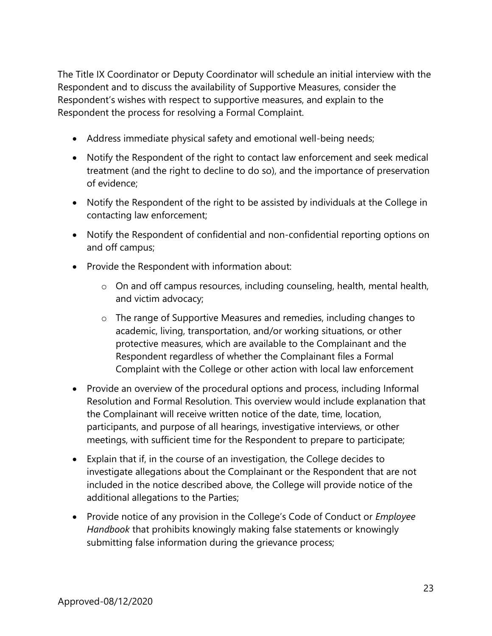The Title IX Coordinator or Deputy Coordinator will schedule an initial interview with the Respondent and to discuss the availability of Supportive Measures, consider the Respondent's wishes with respect to supportive measures, and explain to the Respondent the process for resolving a Formal Complaint.

- Address immediate physical safety and emotional well-being needs;
- Notify the Respondent of the right to contact law enforcement and seek medical treatment (and the right to decline to do so), and the importance of preservation of evidence;
- Notify the Respondent of the right to be assisted by individuals at the College in contacting law enforcement;
- Notify the Respondent of confidential and non-confidential reporting options on and off campus;
- Provide the Respondent with information about:
	- o On and off campus resources, including counseling, health, mental health, and victim advocacy;
	- o The range of Supportive Measures and remedies, including changes to academic, living, transportation, and/or working situations, or other protective measures, which are available to the Complainant and the Respondent regardless of whether the Complainant files a Formal Complaint with the College or other action with local law enforcement
- Provide an overview of the procedural options and process, including Informal Resolution and Formal Resolution. This overview would include explanation that the Complainant will receive written notice of the date, time, location, participants, and purpose of all hearings, investigative interviews, or other meetings, with sufficient time for the Respondent to prepare to participate;
- Explain that if, in the course of an investigation, the College decides to investigate allegations about the Complainant or the Respondent that are not included in the notice described above, the College will provide notice of the additional allegations to the Parties;
- Provide notice of any provision in the College's Code of Conduct or *Employee Handbook* that prohibits knowingly making false statements or knowingly submitting false information during the grievance process;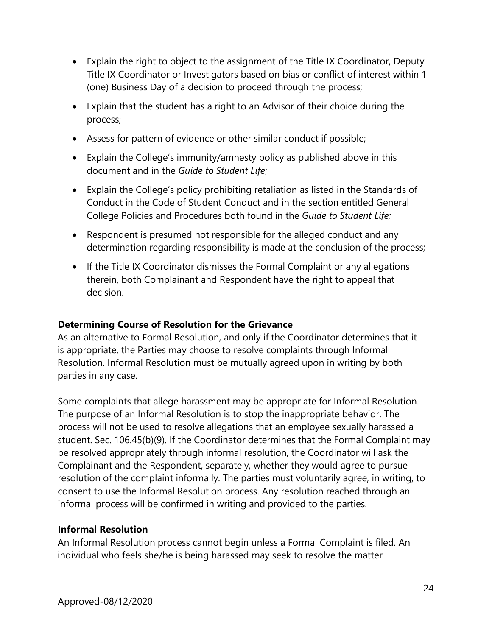- Explain the right to object to the assignment of the Title IX Coordinator, Deputy Title IX Coordinator or Investigators based on bias or conflict of interest within 1 (one) Business Day of a decision to proceed through the process;
- Explain that the student has a right to an Advisor of their choice during the process;
- Assess for pattern of evidence or other similar conduct if possible;
- Explain the College's immunity/amnesty policy as published above in this document and in the *Guide to Student Life*;
- Explain the College's policy prohibiting retaliation as listed in the Standards of Conduct in the Code of Student Conduct and in the section entitled General College Policies and Procedures both found in the *Guide to Student Life;*
- Respondent is presumed not responsible for the alleged conduct and any determination regarding responsibility is made at the conclusion of the process;
- If the Title IX Coordinator dismisses the Formal Complaint or any allegations therein, both Complainant and Respondent have the right to appeal that decision.

### **Determining Course of Resolution for the Grievance**

As an alternative to Formal Resolution, and only if the Coordinator determines that it is appropriate, the Parties may choose to resolve complaints through Informal Resolution. Informal Resolution must be mutually agreed upon in writing by both parties in any case.

Some complaints that allege harassment may be appropriate for Informal Resolution. The purpose of an Informal Resolution is to stop the inappropriate behavior. The process will not be used to resolve allegations that an employee sexually harassed a student. Sec. 106.45(b)(9). If the Coordinator determines that the Formal Complaint may be resolved appropriately through informal resolution, the Coordinator will ask the Complainant and the Respondent, separately, whether they would agree to pursue resolution of the complaint informally. The parties must voluntarily agree, in writing, to consent to use the Informal Resolution process. Any resolution reached through an informal process will be confirmed in writing and provided to the parties.

### **Informal Resolution**

An Informal Resolution process cannot begin unless a Formal Complaint is filed. An individual who feels she/he is being harassed may seek to resolve the matter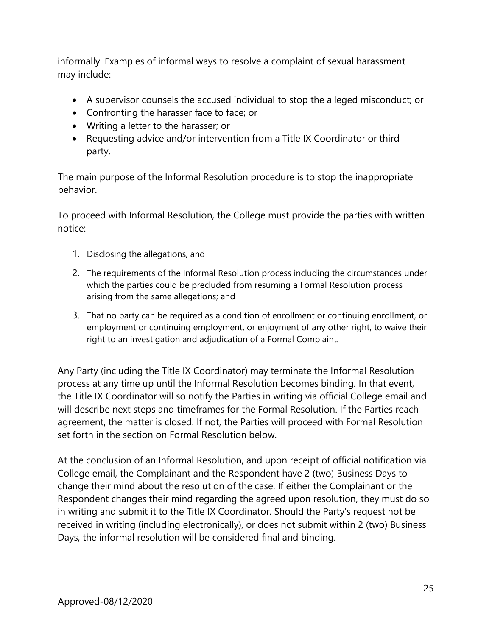informally. Examples of informal ways to resolve a complaint of sexual harassment may include:

- A supervisor counsels the accused individual to stop the alleged misconduct; or
- Confronting the harasser face to face; or
- Writing a letter to the harasser; or
- Requesting advice and/or intervention from a Title IX Coordinator or third party.

The main purpose of the Informal Resolution procedure is to stop the inappropriate behavior.

To proceed with Informal Resolution, the College must provide the parties with written notice:

- 1. Disclosing the allegations, and
- 2. The requirements of the Informal Resolution process including the circumstances under which the parties could be precluded from resuming a Formal Resolution process arising from the same allegations; and
- 3. That no party can be required as a condition of enrollment or continuing enrollment, or employment or continuing employment, or enjoyment of any other right, to waive their right to an investigation and adjudication of a Formal Complaint.

Any Party (including the Title IX Coordinator) may terminate the Informal Resolution process at any time up until the Informal Resolution becomes binding. In that event, the Title IX Coordinator will so notify the Parties in writing via official College email and will describe next steps and timeframes for the Formal Resolution. If the Parties reach agreement, the matter is closed. If not, the Parties will proceed with Formal Resolution set forth in the section on Formal Resolution below.

At the conclusion of an Informal Resolution, and upon receipt of official notification via College email, the Complainant and the Respondent have 2 (two) Business Days to change their mind about the resolution of the case. If either the Complainant or the Respondent changes their mind regarding the agreed upon resolution, they must do so in writing and submit it to the Title IX Coordinator. Should the Party's request not be received in writing (including electronically), or does not submit within 2 (two) Business Days, the informal resolution will be considered final and binding.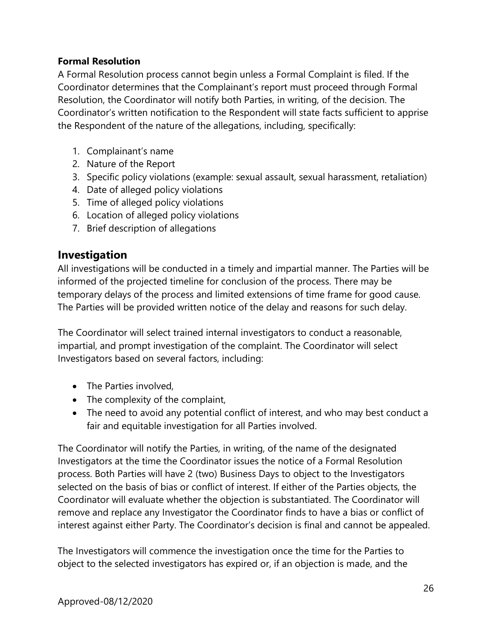### **Formal Resolution**

A Formal Resolution process cannot begin unless a Formal Complaint is filed. If the Coordinator determines that the Complainant's report must proceed through Formal Resolution, the Coordinator will notify both Parties, in writing, of the decision. The Coordinator's written notification to the Respondent will state facts sufficient to apprise the Respondent of the nature of the allegations, including, specifically:

- 1. Complainant's name
- 2. Nature of the Report
- 3. Specific policy violations (example: sexual assault, sexual harassment, retaliation)
- 4. Date of alleged policy violations
- 5. Time of alleged policy violations
- 6. Location of alleged policy violations
- 7. Brief description of allegations

### **Investigation**

All investigations will be conducted in a timely and impartial manner. The Parties will be informed of the projected timeline for conclusion of the process. There may be temporary delays of the process and limited extensions of time frame for good cause. The Parties will be provided written notice of the delay and reasons for such delay.

The Coordinator will select trained internal investigators to conduct a reasonable, impartial, and prompt investigation of the complaint. The Coordinator will select Investigators based on several factors, including:

- The Parties involved.
- The complexity of the complaint,
- The need to avoid any potential conflict of interest, and who may best conduct a fair and equitable investigation for all Parties involved.

The Coordinator will notify the Parties, in writing, of the name of the designated Investigators at the time the Coordinator issues the notice of a Formal Resolution process. Both Parties will have 2 (two) Business Days to object to the Investigators selected on the basis of bias or conflict of interest. If either of the Parties objects, the Coordinator will evaluate whether the objection is substantiated. The Coordinator will remove and replace any Investigator the Coordinator finds to have a bias or conflict of interest against either Party. The Coordinator's decision is final and cannot be appealed.

The Investigators will commence the investigation once the time for the Parties to object to the selected investigators has expired or, if an objection is made, and the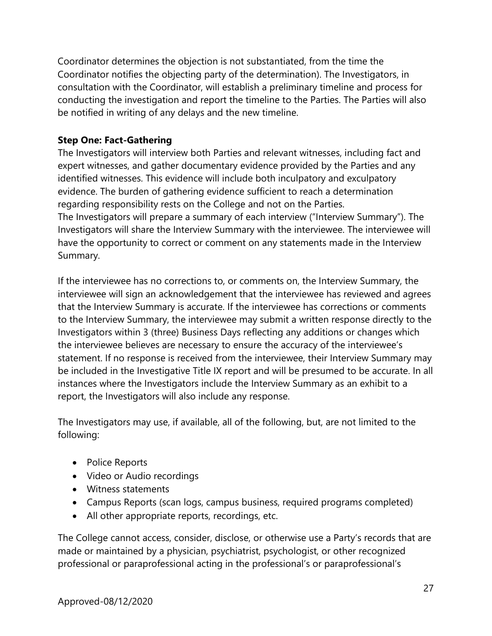Coordinator determines the objection is not substantiated, from the time the Coordinator notifies the objecting party of the determination). The Investigators, in consultation with the Coordinator, will establish a preliminary timeline and process for conducting the investigation and report the timeline to the Parties. The Parties will also be notified in writing of any delays and the new timeline.

#### **Step One: Fact-Gathering**

The Investigators will interview both Parties and relevant witnesses, including fact and expert witnesses, and gather documentary evidence provided by the Parties and any identified witnesses. This evidence will include both inculpatory and exculpatory evidence. The burden of gathering evidence sufficient to reach a determination regarding responsibility rests on the College and not on the Parties. The Investigators will prepare a summary of each interview ("Interview Summary"). The Investigators will share the Interview Summary with the interviewee. The interviewee will have the opportunity to correct or comment on any statements made in the Interview Summary.

If the interviewee has no corrections to, or comments on, the Interview Summary, the interviewee will sign an acknowledgement that the interviewee has reviewed and agrees that the Interview Summary is accurate. If the interviewee has corrections or comments to the Interview Summary, the interviewee may submit a written response directly to the Investigators within 3 (three) Business Days reflecting any additions or changes which the interviewee believes are necessary to ensure the accuracy of the interviewee's statement. If no response is received from the interviewee, their Interview Summary may be included in the Investigative Title IX report and will be presumed to be accurate. In all instances where the Investigators include the Interview Summary as an exhibit to a report, the Investigators will also include any response.

The Investigators may use, if available, all of the following, but, are not limited to the following:

- Police Reports
- Video or Audio recordings
- Witness statements
- Campus Reports (scan logs, campus business, required programs completed)
- All other appropriate reports, recordings, etc.

The College cannot access, consider, disclose, or otherwise use a Party's records that are made or maintained by a physician, psychiatrist, psychologist, or other recognized professional or paraprofessional acting in the professional's or paraprofessional's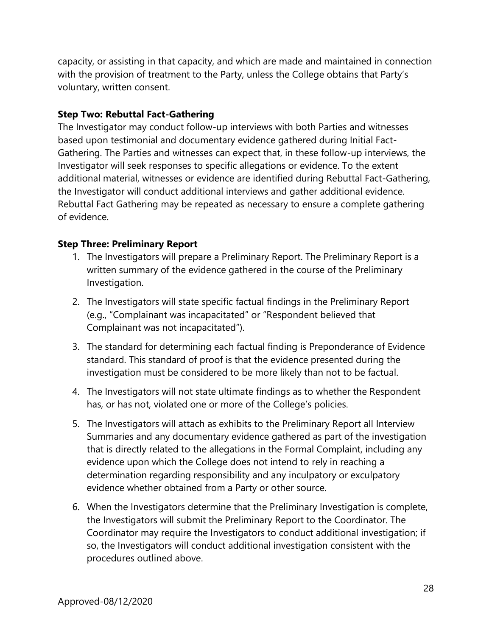capacity, or assisting in that capacity, and which are made and maintained in connection with the provision of treatment to the Party, unless the College obtains that Party's voluntary, written consent.

### **Step Two: Rebuttal Fact-Gathering**

The Investigator may conduct follow-up interviews with both Parties and witnesses based upon testimonial and documentary evidence gathered during Initial Fact-Gathering. The Parties and witnesses can expect that, in these follow-up interviews, the Investigator will seek responses to specific allegations or evidence. To the extent additional material, witnesses or evidence are identified during Rebuttal Fact-Gathering, the Investigator will conduct additional interviews and gather additional evidence. Rebuttal Fact Gathering may be repeated as necessary to ensure a complete gathering of evidence.

### **Step Three: Preliminary Report**

- 1. The Investigators will prepare a Preliminary Report. The Preliminary Report is a written summary of the evidence gathered in the course of the Preliminary Investigation.
- 2. The Investigators will state specific factual findings in the Preliminary Report (e.g., "Complainant was incapacitated" or "Respondent believed that Complainant was not incapacitated").
- 3. The standard for determining each factual finding is Preponderance of Evidence standard. This standard of proof is that the evidence presented during the investigation must be considered to be more likely than not to be factual.
- 4. The Investigators will not state ultimate findings as to whether the Respondent has, or has not, violated one or more of the College's policies.
- 5. The Investigators will attach as exhibits to the Preliminary Report all Interview Summaries and any documentary evidence gathered as part of the investigation that is directly related to the allegations in the Formal Complaint, including any evidence upon which the College does not intend to rely in reaching a determination regarding responsibility and any inculpatory or exculpatory evidence whether obtained from a Party or other source.
- 6. When the Investigators determine that the Preliminary Investigation is complete, the Investigators will submit the Preliminary Report to the Coordinator. The Coordinator may require the Investigators to conduct additional investigation; if so, the Investigators will conduct additional investigation consistent with the procedures outlined above.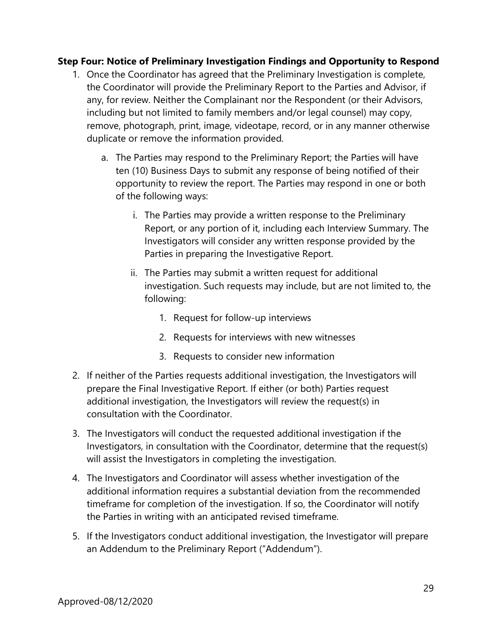### **Step Four: Notice of Preliminary Investigation Findings and Opportunity to Respond**

- 1. Once the Coordinator has agreed that the Preliminary Investigation is complete, the Coordinator will provide the Preliminary Report to the Parties and Advisor, if any, for review. Neither the Complainant nor the Respondent (or their Advisors, including but not limited to family members and/or legal counsel) may copy, remove, photograph, print, image, videotape, record, or in any manner otherwise duplicate or remove the information provided.
	- a. The Parties may respond to the Preliminary Report; the Parties will have ten (10) Business Days to submit any response of being notified of their opportunity to review the report. The Parties may respond in one or both of the following ways:
		- i. The Parties may provide a written response to the Preliminary Report, or any portion of it, including each Interview Summary. The Investigators will consider any written response provided by the Parties in preparing the Investigative Report.
		- ii. The Parties may submit a written request for additional investigation. Such requests may include, but are not limited to, the following:
			- 1. Request for follow-up interviews
			- 2. Requests for interviews with new witnesses
			- 3. Requests to consider new information
- 2. If neither of the Parties requests additional investigation, the Investigators will prepare the Final Investigative Report. If either (or both) Parties request additional investigation, the Investigators will review the request(s) in consultation with the Coordinator.
- 3. The Investigators will conduct the requested additional investigation if the Investigators, in consultation with the Coordinator, determine that the request(s) will assist the Investigators in completing the investigation.
- 4. The Investigators and Coordinator will assess whether investigation of the additional information requires a substantial deviation from the recommended timeframe for completion of the investigation. If so, the Coordinator will notify the Parties in writing with an anticipated revised timeframe.
- 5. If the Investigators conduct additional investigation, the Investigator will prepare an Addendum to the Preliminary Report ("Addendum").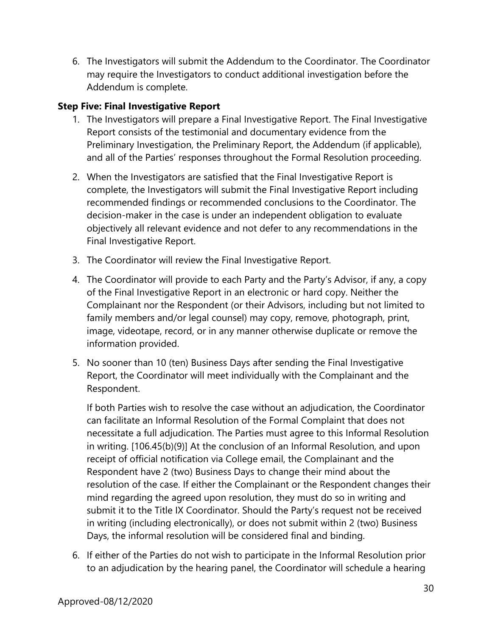6. The Investigators will submit the Addendum to the Coordinator. The Coordinator may require the Investigators to conduct additional investigation before the Addendum is complete.

### **Step Five: Final Investigative Report**

- 1. The Investigators will prepare a Final Investigative Report. The Final Investigative Report consists of the testimonial and documentary evidence from the Preliminary Investigation, the Preliminary Report, the Addendum (if applicable), and all of the Parties' responses throughout the Formal Resolution proceeding.
- 2. When the Investigators are satisfied that the Final Investigative Report is complete, the Investigators will submit the Final Investigative Report including recommended findings or recommended conclusions to the Coordinator. The decision-maker in the case is under an independent obligation to evaluate objectively all relevant evidence and not defer to any recommendations in the Final Investigative Report.
- 3. The Coordinator will review the Final Investigative Report.
- 4. The Coordinator will provide to each Party and the Party's Advisor, if any, a copy of the Final Investigative Report in an electronic or hard copy. Neither the Complainant nor the Respondent (or their Advisors, including but not limited to family members and/or legal counsel) may copy, remove, photograph, print, image, videotape, record, or in any manner otherwise duplicate or remove the information provided.
- 5. No sooner than 10 (ten) Business Days after sending the Final Investigative Report, the Coordinator will meet individually with the Complainant and the Respondent.

If both Parties wish to resolve the case without an adjudication, the Coordinator can facilitate an Informal Resolution of the Formal Complaint that does not necessitate a full adjudication. The Parties must agree to this Informal Resolution in writing. [106.45(b)(9)] At the conclusion of an Informal Resolution, and upon receipt of official notification via College email, the Complainant and the Respondent have 2 (two) Business Days to change their mind about the resolution of the case. If either the Complainant or the Respondent changes their mind regarding the agreed upon resolution, they must do so in writing and submit it to the Title IX Coordinator. Should the Party's request not be received in writing (including electronically), or does not submit within 2 (two) Business Days, the informal resolution will be considered final and binding.

6. If either of the Parties do not wish to participate in the Informal Resolution prior to an adjudication by the hearing panel, the Coordinator will schedule a hearing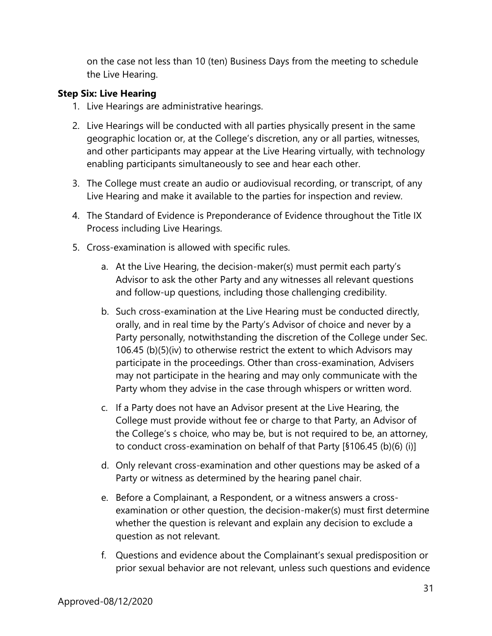on the case not less than 10 (ten) Business Days from the meeting to schedule the Live Hearing.

#### **Step Six: Live Hearing**

- 1. Live Hearings are administrative hearings.
- 2. Live Hearings will be conducted with all parties physically present in the same geographic location or, at the College's discretion, any or all parties, witnesses, and other participants may appear at the Live Hearing virtually, with technology enabling participants simultaneously to see and hear each other.
- 3. The College must create an audio or audiovisual recording, or transcript, of any Live Hearing and make it available to the parties for inspection and review.
- 4. The Standard of Evidence is Preponderance of Evidence throughout the Title IX Process including Live Hearings.
- 5. Cross-examination is allowed with specific rules.
	- a. At the Live Hearing, the decision-maker(s) must permit each party's Advisor to ask the other Party and any witnesses all relevant questions and follow-up questions, including those challenging credibility.
	- b. Such cross-examination at the Live Hearing must be conducted directly, orally, and in real time by the Party's Advisor of choice and never by a Party personally, notwithstanding the discretion of the College under Sec. 106.45 (b)(5)(iv) to otherwise restrict the extent to which Advisors may participate in the proceedings. Other than cross-examination, Advisers may not participate in the hearing and may only communicate with the Party whom they advise in the case through whispers or written word.
	- c. If a Party does not have an Advisor present at the Live Hearing, the College must provide without fee or charge to that Party, an Advisor of the College's s choice, who may be, but is not required to be, an attorney, to conduct cross-examination on behalf of that Party [§106.45 (b)(6) (i)]
	- d. Only relevant cross-examination and other questions may be asked of a Party or witness as determined by the hearing panel chair.
	- e. Before a Complainant, a Respondent, or a witness answers a crossexamination or other question, the decision-maker(s) must first determine whether the question is relevant and explain any decision to exclude a question as not relevant.
	- f. Questions and evidence about the Complainant's sexual predisposition or prior sexual behavior are not relevant, unless such questions and evidence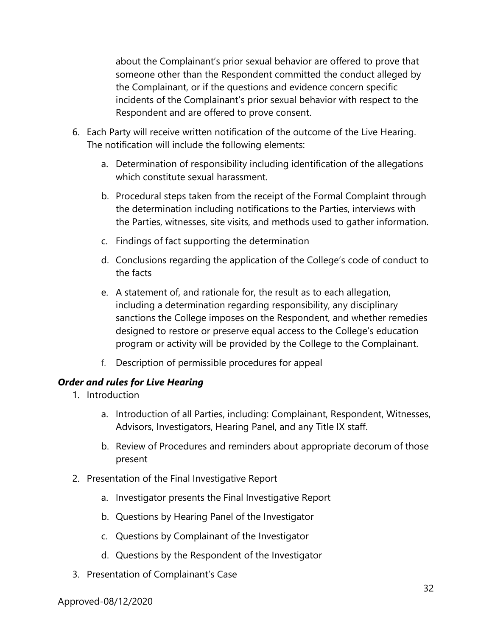about the Complainant's prior sexual behavior are offered to prove that someone other than the Respondent committed the conduct alleged by the Complainant, or if the questions and evidence concern specific incidents of the Complainant's prior sexual behavior with respect to the Respondent and are offered to prove consent.

- 6. Each Party will receive written notification of the outcome of the Live Hearing. The notification will include the following elements:
	- a. Determination of responsibility including identification of the allegations which constitute sexual harassment.
	- b. Procedural steps taken from the receipt of the Formal Complaint through the determination including notifications to the Parties, interviews with the Parties, witnesses, site visits, and methods used to gather information.
	- c. Findings of fact supporting the determination
	- d. Conclusions regarding the application of the College's code of conduct to the facts
	- e. A statement of, and rationale for, the result as to each allegation, including a determination regarding responsibility, any disciplinary sanctions the College imposes on the Respondent, and whether remedies designed to restore or preserve equal access to the College's education program or activity will be provided by the College to the Complainant.
	- f. Description of permissible procedures for appeal

### *Order and rules for Live Hearing*

- 1. Introduction
	- a. Introduction of all Parties, including: Complainant, Respondent, Witnesses, Advisors, Investigators, Hearing Panel, and any Title IX staff.
	- b. Review of Procedures and reminders about appropriate decorum of those present
- 2. Presentation of the Final Investigative Report
	- a. Investigator presents the Final Investigative Report
	- b. Questions by Hearing Panel of the Investigator
	- c. Questions by Complainant of the Investigator
	- d. Questions by the Respondent of the Investigator
- 3. Presentation of Complainant's Case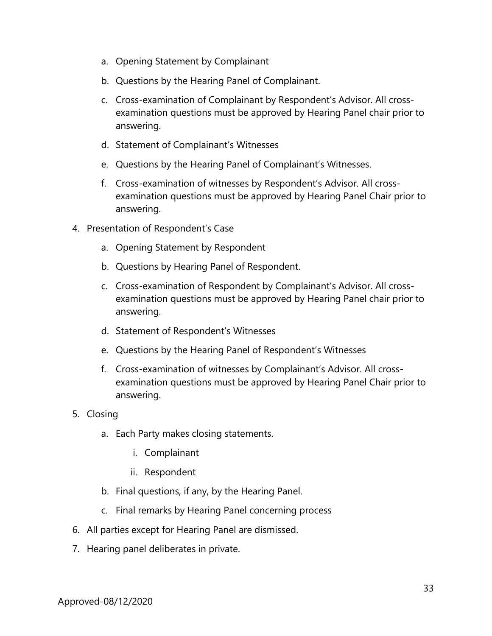- a. Opening Statement by Complainant
- b. Questions by the Hearing Panel of Complainant.
- c. Cross-examination of Complainant by Respondent's Advisor. All crossexamination questions must be approved by Hearing Panel chair prior to answering.
- d. Statement of Complainant's Witnesses
- e. Questions by the Hearing Panel of Complainant's Witnesses.
- f. Cross-examination of witnesses by Respondent's Advisor. All crossexamination questions must be approved by Hearing Panel Chair prior to answering.
- 4. Presentation of Respondent's Case
	- a. Opening Statement by Respondent
	- b. Questions by Hearing Panel of Respondent.
	- c. Cross-examination of Respondent by Complainant's Advisor. All crossexamination questions must be approved by Hearing Panel chair prior to answering.
	- d. Statement of Respondent's Witnesses
	- e. Questions by the Hearing Panel of Respondent's Witnesses
	- f. Cross-examination of witnesses by Complainant's Advisor. All crossexamination questions must be approved by Hearing Panel Chair prior to answering.
- 5. Closing
	- a. Each Party makes closing statements.
		- i. Complainant
		- ii. Respondent
	- b. Final questions, if any, by the Hearing Panel.
	- c. Final remarks by Hearing Panel concerning process
- 6. All parties except for Hearing Panel are dismissed.
- 7. Hearing panel deliberates in private.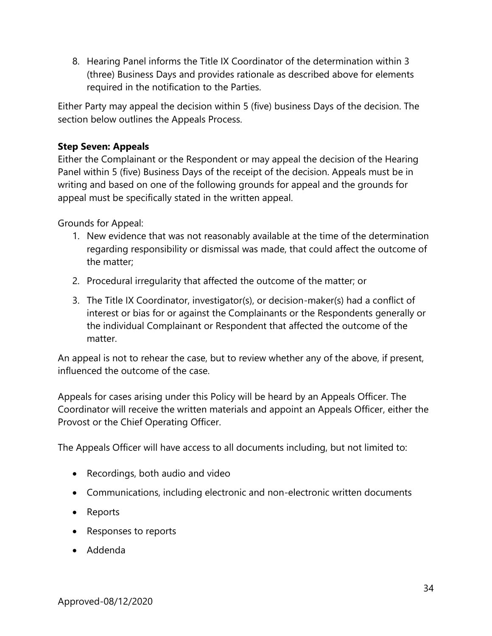8. Hearing Panel informs the Title IX Coordinator of the determination within 3 (three) Business Days and provides rationale as described above for elements required in the notification to the Parties.

Either Party may appeal the decision within 5 (five) business Days of the decision. The section below outlines the Appeals Process.

### **Step Seven: Appeals**

Either the Complainant or the Respondent or may appeal the decision of the Hearing Panel within 5 (five) Business Days of the receipt of the decision. Appeals must be in writing and based on one of the following grounds for appeal and the grounds for appeal must be specifically stated in the written appeal.

Grounds for Appeal:

- 1. New evidence that was not reasonably available at the time of the determination regarding responsibility or dismissal was made, that could affect the outcome of the matter;
- 2. Procedural irregularity that affected the outcome of the matter; or
- 3. The Title IX Coordinator, investigator(s), or decision-maker(s) had a conflict of interest or bias for or against the Complainants or the Respondents generally or the individual Complainant or Respondent that affected the outcome of the matter.

An appeal is not to rehear the case, but to review whether any of the above, if present, influenced the outcome of the case.

Appeals for cases arising under this Policy will be heard by an Appeals Officer. The Coordinator will receive the written materials and appoint an Appeals Officer, either the Provost or the Chief Operating Officer.

The Appeals Officer will have access to all documents including, but not limited to:

- Recordings, both audio and video
- Communications, including electronic and non-electronic written documents
- Reports
- Responses to reports
- Addenda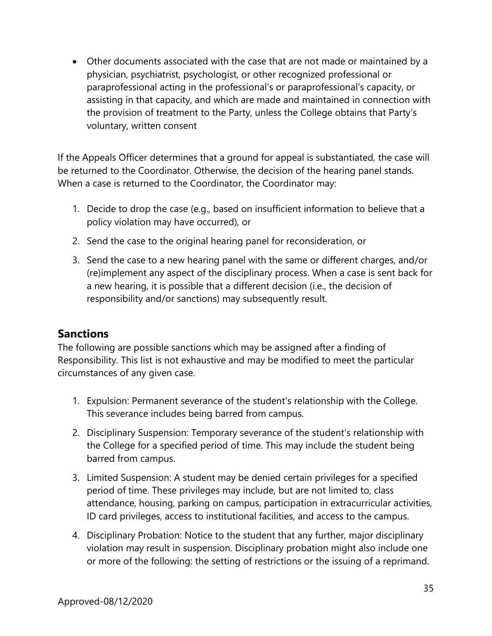Other documents associated with the case that are not made or maintained by a physician, psychiatrist, psychologist, or other recognized professional or paraprofessional acting in the professional's or paraprofessional's capacity, or assisting in that capacity, and which are made and maintained in connection with the provision of treatment to the Party, unless the College obtains that Party's voluntary, written consent

If the Appeals Officer determines that a ground for appeal is substantiated, the case will be returned to the Coordinator. Otherwise, the decision of the hearing panel stands. When a case is returned to the Coordinator, the Coordinator may:

- 1. Decide to drop the case (e.g., based on insufficient information to believe that a policy violation may have occurred), or
- 2. Send the case to the original hearing panel for reconsideration, or
- 3. Send the case to a new hearing panel with the same or different charges, and/or (re)implement any aspect of the disciplinary process. When a case is sent back for a new hearing, it is possible that a different decision (i.e., the decision of responsibility and/or sanctions) may subsequently result.

### **Sanctions**

The following are possible sanctions which may be assigned after a finding of Responsibility. This list is not exhaustive and may be modified to meet the particular circumstances of any given case.

- 1. Expulsion: Permanent severance of the student's relationship with the College. This severance includes being barred from campus.
- 2. Disciplinary Suspension: Temporary severance of the student's relationship with the College for a specified period of time. This may include the student being barred from campus.
- 3. Limited Suspension: A student may be denied certain privileges for a specified period of time. These privileges may include, but are not limited to, class attendance, housing, parking on campus, participation in extracurricular activities, ID card privileges, access to institutional facilities, and access to the campus.
- 4. Disciplinary Probation: Notice to the student that any further, major disciplinary violation may result in suspension. Disciplinary probation might also include one or more of the following: the setting of restrictions or the issuing of a reprimand.